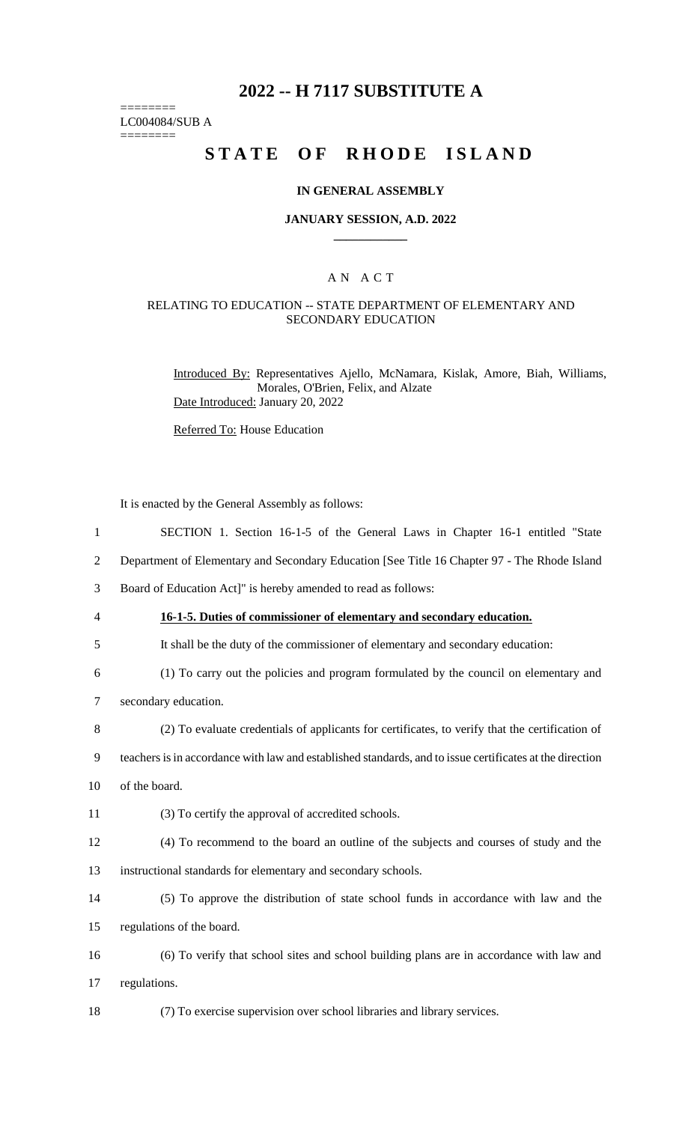# **2022 -- H 7117 SUBSTITUTE A**

LC004084/SUB A  $=$ 

========

# **STATE OF RHODE ISLAND**

### **IN GENERAL ASSEMBLY**

### **JANUARY SESSION, A.D. 2022 \_\_\_\_\_\_\_\_\_\_\_\_**

### A N A C T

### RELATING TO EDUCATION -- STATE DEPARTMENT OF ELEMENTARY AND SECONDARY EDUCATION

Introduced By: Representatives Ajello, McNamara, Kislak, Amore, Biah, Williams, Morales, O'Brien, Felix, and Alzate Date Introduced: January 20, 2022

Referred To: House Education

It is enacted by the General Assembly as follows:

| $\mathbf{1}$   | SECTION 1. Section 16-1-5 of the General Laws in Chapter 16-1 entitled "State                            |
|----------------|----------------------------------------------------------------------------------------------------------|
| $\overline{2}$ | Department of Elementary and Secondary Education [See Title 16 Chapter 97 - The Rhode Island             |
| 3              | Board of Education Act]" is hereby amended to read as follows:                                           |
| 4              | 16-1-5. Duties of commissioner of elementary and secondary education.                                    |
| 5              | It shall be the duty of the commissioner of elementary and secondary education:                          |
| 6              | (1) To carry out the policies and program formulated by the council on elementary and                    |
| $\tau$         | secondary education.                                                                                     |
| 8              | (2) To evaluate credentials of applicants for certificates, to verify that the certification of          |
| 9              | teachers is in accordance with law and established standards, and to issue certificates at the direction |
| 10             | of the board.                                                                                            |
| 11             | (3) To certify the approval of accredited schools.                                                       |
| 12             | (4) To recommend to the board an outline of the subjects and courses of study and the                    |
| 13             | instructional standards for elementary and secondary schools.                                            |
| 14             | (5) To approve the distribution of state school funds in accordance with law and the                     |
| 15             | regulations of the board.                                                                                |
| 16             | (6) To verify that school sites and school building plans are in accordance with law and                 |
| 17             | regulations.                                                                                             |
| 18             | (7) To exercise supervision over school libraries and library services.                                  |
|                |                                                                                                          |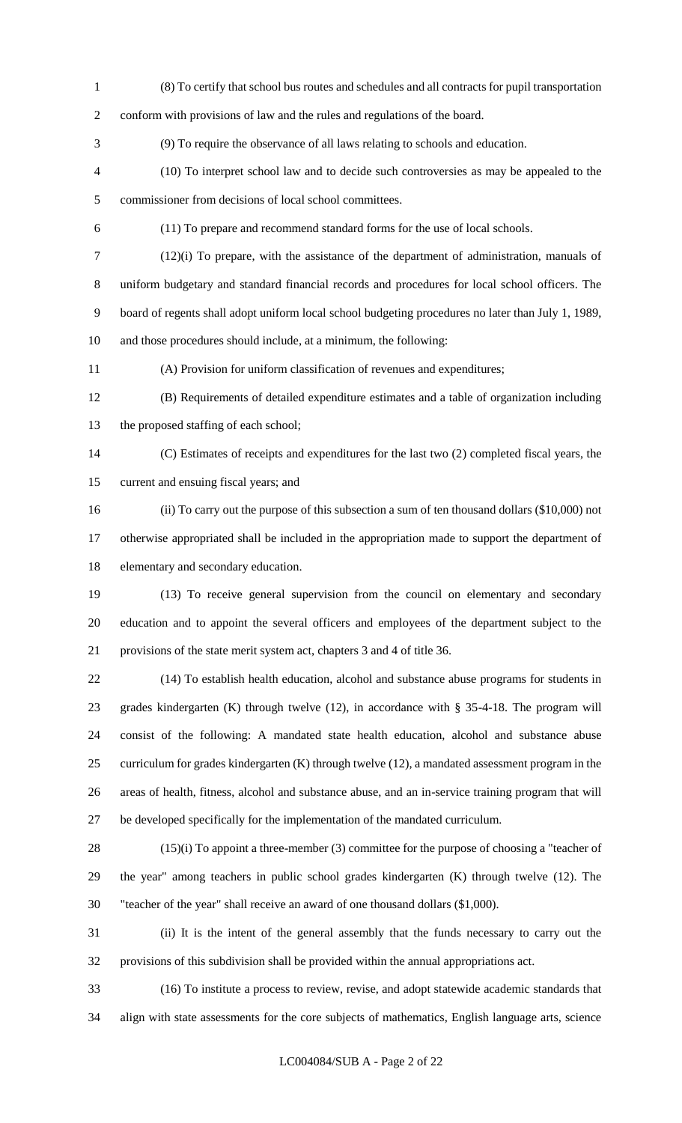(8) To certify that school bus routes and schedules and all contracts for pupil transportation conform with provisions of law and the rules and regulations of the board. (9) To require the observance of all laws relating to schools and education. (10) To interpret school law and to decide such controversies as may be appealed to the commissioner from decisions of local school committees. (11) To prepare and recommend standard forms for the use of local schools. (12)(i) To prepare, with the assistance of the department of administration, manuals of uniform budgetary and standard financial records and procedures for local school officers. The board of regents shall adopt uniform local school budgeting procedures no later than July 1, 1989, and those procedures should include, at a minimum, the following: (A) Provision for uniform classification of revenues and expenditures; (B) Requirements of detailed expenditure estimates and a table of organization including the proposed staffing of each school; (C) Estimates of receipts and expenditures for the last two (2) completed fiscal years, the current and ensuing fiscal years; and

 (ii) To carry out the purpose of this subsection a sum of ten thousand dollars (\$10,000) not otherwise appropriated shall be included in the appropriation made to support the department of elementary and secondary education.

 (13) To receive general supervision from the council on elementary and secondary education and to appoint the several officers and employees of the department subject to the provisions of the state merit system act, chapters 3 and 4 of title 36.

 (14) To establish health education, alcohol and substance abuse programs for students in grades kindergarten (K) through twelve (12), in accordance with § 35-4-18. The program will consist of the following: A mandated state health education, alcohol and substance abuse curriculum for grades kindergarten (K) through twelve (12), a mandated assessment program in the areas of health, fitness, alcohol and substance abuse, and an in-service training program that will be developed specifically for the implementation of the mandated curriculum.

 (15)(i) To appoint a three-member (3) committee for the purpose of choosing a "teacher of the year" among teachers in public school grades kindergarten (K) through twelve (12). The "teacher of the year" shall receive an award of one thousand dollars (\$1,000).

 (ii) It is the intent of the general assembly that the funds necessary to carry out the provisions of this subdivision shall be provided within the annual appropriations act.

 (16) To institute a process to review, revise, and adopt statewide academic standards that align with state assessments for the core subjects of mathematics, English language arts, science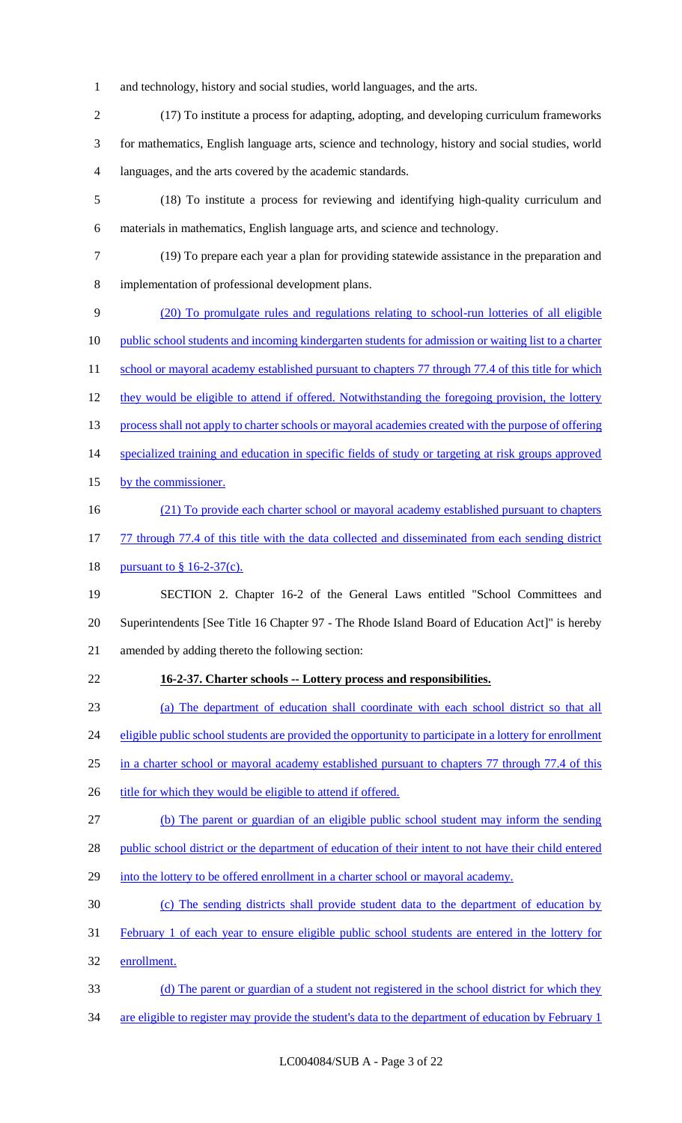- 1 and technology, history and social studies, world languages, and the arts.
- 2 (17) To institute a process for adapting, adopting, and developing curriculum frameworks 3 for mathematics, English language arts, science and technology, history and social studies, world 4 languages, and the arts covered by the academic standards.
- 5 (18) To institute a process for reviewing and identifying high-quality curriculum and 6 materials in mathematics, English language arts, and science and technology.
- 7 (19) To prepare each year a plan for providing statewide assistance in the preparation and 8 implementation of professional development plans.
- 9 (20) To promulgate rules and regulations relating to school-run lotteries of all eligible 10 public school students and incoming kindergarten students for admission or waiting list to a charter 11 school or mayoral academy established pursuant to chapters 77 through 77.4 of this title for which 12 they would be eligible to attend if offered. Notwithstanding the foregoing provision, the lottery 13 process shall not apply to charter schools or mayoral academies created with the purpose of offering 14 specialized training and education in specific fields of study or targeting at risk groups approved 15 by the commissioner. 16 (21) To provide each charter school or mayoral academy established pursuant to chapters 17 77 through 77.4 of this title with the data collected and disseminated from each sending district 18 <u>pursuant to § 16-2-37(c).</u> 19 SECTION 2. Chapter 16-2 of the General Laws entitled "School Committees and 20 Superintendents [See Title 16 Chapter 97 - The Rhode Island Board of Education Act]" is hereby 21 amended by adding thereto the following section:
- 22 **16-2-37. Charter schools -- Lottery process and responsibilities.**
- 23 (a) The department of education shall coordinate with each school district so that all

24 eligible public school students are provided the opportunity to participate in a lottery for enrollment

- 25 in a charter school or mayoral academy established pursuant to chapters 77 through 77.4 of this
- 26 title for which they would be eligible to attend if offered.
- 27 (b) The parent or guardian of an eligible public school student may inform the sending
- 28 public school district or the department of education of their intent to not have their child entered
- 29 into the lottery to be offered enrollment in a charter school or mayoral academy.
- 30 (c) The sending districts shall provide student data to the department of education by
- 31 February 1 of each year to ensure eligible public school students are entered in the lottery for
- 32 enrollment.
- 33 (d) The parent or guardian of a student not registered in the school district for which they
- 34 are eligible to register may provide the student's data to the department of education by February 1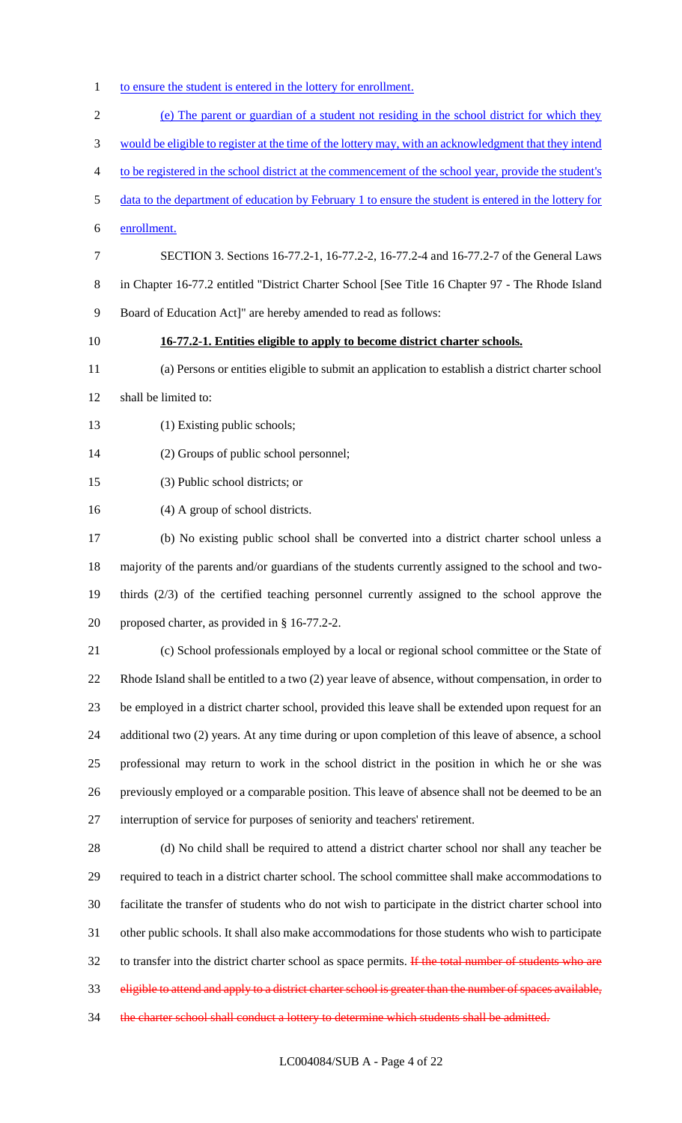- 1 to ensure the student is entered in the lottery for enrollment.
- (e) The parent or guardian of a student not residing in the school district for which they would be eligible to register at the time of the lottery may, with an acknowledgment that they intend to be registered in the school district at the commencement of the school year, provide the student's data to the department of education by February 1 to ensure the student is entered in the lottery for enrollment. SECTION 3. Sections 16-77.2-1, 16-77.2-2, 16-77.2-4 and 16-77.2-7 of the General Laws in Chapter 16-77.2 entitled "District Charter School [See Title 16 Chapter 97 - The Rhode Island Board of Education Act]" are hereby amended to read as follows: **16-77.2-1. Entities eligible to apply to become district charter schools.** (a) Persons or entities eligible to submit an application to establish a district charter school shall be limited to: 13 (1) Existing public schools; (2) Groups of public school personnel; (3) Public school districts; or (4) A group of school districts. (b) No existing public school shall be converted into a district charter school unless a majority of the parents and/or guardians of the students currently assigned to the school and two- thirds (2/3) of the certified teaching personnel currently assigned to the school approve the proposed charter, as provided in § 16-77.2-2. (c) School professionals employed by a local or regional school committee or the State of Rhode Island shall be entitled to a two (2) year leave of absence, without compensation, in order to be employed in a district charter school, provided this leave shall be extended upon request for an additional two (2) years. At any time during or upon completion of this leave of absence, a school professional may return to work in the school district in the position in which he or she was previously employed or a comparable position. This leave of absence shall not be deemed to be an interruption of service for purposes of seniority and teachers' retirement. (d) No child shall be required to attend a district charter school nor shall any teacher be required to teach in a district charter school. The school committee shall make accommodations to facilitate the transfer of students who do not wish to participate in the district charter school into other public schools. It shall also make accommodations for those students who wish to participate 32 to transfer into the district charter school as space permits. If the total number of students who are eligible to attend and apply to a district charter school is greater than the number of spaces available, 34 the charter school shall conduct a lottery to determine which students shall be admitted.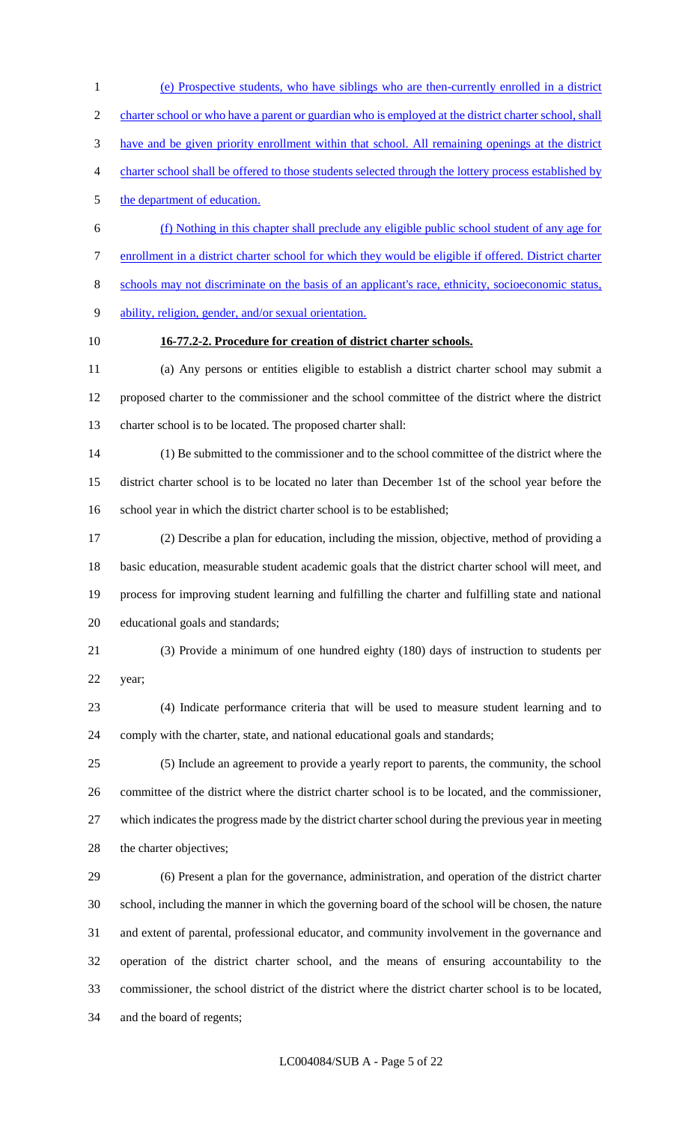(e) Prospective students, who have siblings who are then-currently enrolled in a district charter school or who have a parent or guardian who is employed at the district charter school, shall have and be given priority enrollment within that school. All remaining openings at the district charter school shall be offered to those students selected through the lottery process established by 5 the department of education. (f) Nothing in this chapter shall preclude any eligible public school student of any age for enrollment in a district charter school for which they would be eligible if offered. District charter schools may not discriminate on the basis of an applicant's race, ethnicity, socioeconomic status, ability, religion, gender, and/or sexual orientation. **16-77.2-2. Procedure for creation of district charter schools.** (a) Any persons or entities eligible to establish a district charter school may submit a proposed charter to the commissioner and the school committee of the district where the district charter school is to be located. The proposed charter shall: (1) Be submitted to the commissioner and to the school committee of the district where the district charter school is to be located no later than December 1st of the school year before the school year in which the district charter school is to be established; (2) Describe a plan for education, including the mission, objective, method of providing a basic education, measurable student academic goals that the district charter school will meet, and process for improving student learning and fulfilling the charter and fulfilling state and national educational goals and standards; (3) Provide a minimum of one hundred eighty (180) days of instruction to students per year; (4) Indicate performance criteria that will be used to measure student learning and to comply with the charter, state, and national educational goals and standards; (5) Include an agreement to provide a yearly report to parents, the community, the school committee of the district where the district charter school is to be located, and the commissioner, which indicates the progress made by the district charter school during the previous year in meeting 28 the charter objectives; (6) Present a plan for the governance, administration, and operation of the district charter school, including the manner in which the governing board of the school will be chosen, the nature and extent of parental, professional educator, and community involvement in the governance and operation of the district charter school, and the means of ensuring accountability to the commissioner, the school district of the district where the district charter school is to be located,

and the board of regents;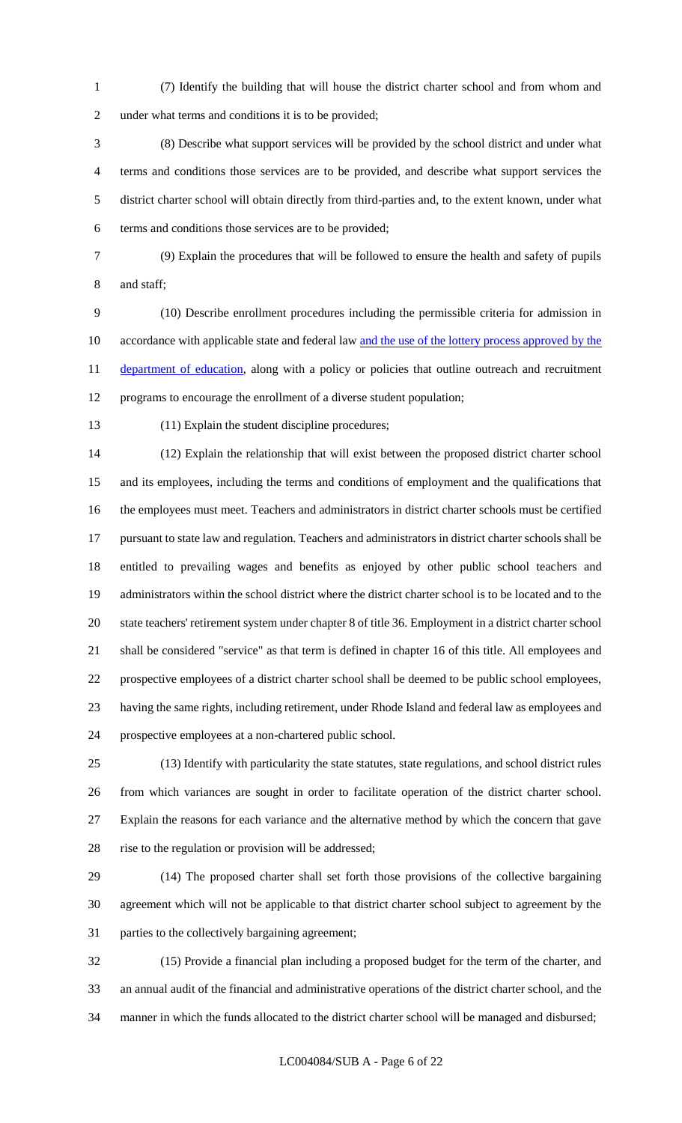(7) Identify the building that will house the district charter school and from whom and under what terms and conditions it is to be provided;

 (8) Describe what support services will be provided by the school district and under what terms and conditions those services are to be provided, and describe what support services the district charter school will obtain directly from third-parties and, to the extent known, under what terms and conditions those services are to be provided;

 (9) Explain the procedures that will be followed to ensure the health and safety of pupils and staff;

 (10) Describe enrollment procedures including the permissible criteria for admission in 10 accordance with applicable state and federal law and the use of the lottery process approved by the 11 department of education, along with a policy or policies that outline outreach and recruitment programs to encourage the enrollment of a diverse student population;

(11) Explain the student discipline procedures;

 (12) Explain the relationship that will exist between the proposed district charter school and its employees, including the terms and conditions of employment and the qualifications that the employees must meet. Teachers and administrators in district charter schools must be certified pursuant to state law and regulation. Teachers and administrators in district charter schools shall be entitled to prevailing wages and benefits as enjoyed by other public school teachers and administrators within the school district where the district charter school is to be located and to the state teachers' retirement system under chapter 8 of title 36. Employment in a district charter school shall be considered "service" as that term is defined in chapter 16 of this title. All employees and prospective employees of a district charter school shall be deemed to be public school employees, having the same rights, including retirement, under Rhode Island and federal law as employees and prospective employees at a non-chartered public school.

 (13) Identify with particularity the state statutes, state regulations, and school district rules from which variances are sought in order to facilitate operation of the district charter school. Explain the reasons for each variance and the alternative method by which the concern that gave 28 rise to the regulation or provision will be addressed;

 (14) The proposed charter shall set forth those provisions of the collective bargaining agreement which will not be applicable to that district charter school subject to agreement by the parties to the collectively bargaining agreement;

 (15) Provide a financial plan including a proposed budget for the term of the charter, and an annual audit of the financial and administrative operations of the district charter school, and the manner in which the funds allocated to the district charter school will be managed and disbursed;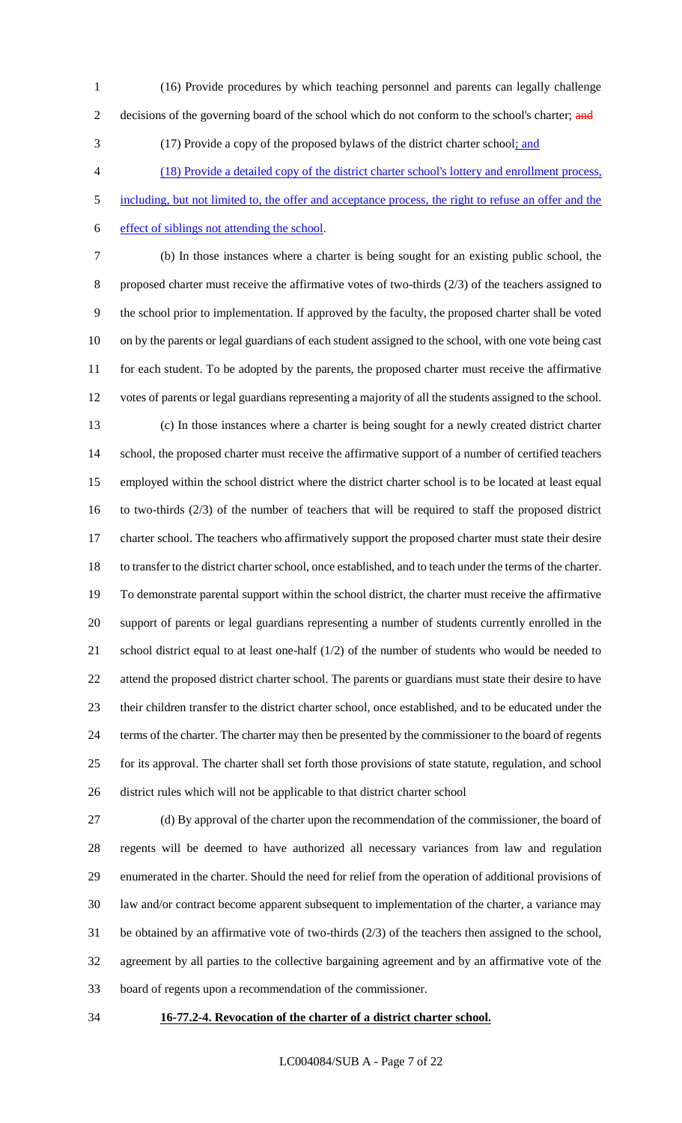- (16) Provide procedures by which teaching personnel and parents can legally challenge
- 

2 decisions of the governing board of the school which do not conform to the school's charter; and

(17) Provide a copy of the proposed bylaws of the district charter school; and

(18) Provide a detailed copy of the district charter school's lottery and enrollment process,

5 including, but not limited to, the offer and acceptance process, the right to refuse an offer and the effect of siblings not attending the school.

 (b) In those instances where a charter is being sought for an existing public school, the proposed charter must receive the affirmative votes of two-thirds (2/3) of the teachers assigned to the school prior to implementation. If approved by the faculty, the proposed charter shall be voted on by the parents or legal guardians of each student assigned to the school, with one vote being cast 11 for each student. To be adopted by the parents, the proposed charter must receive the affirmative votes of parents or legal guardians representing a majority of all the students assigned to the school. (c) In those instances where a charter is being sought for a newly created district charter school, the proposed charter must receive the affirmative support of a number of certified teachers employed within the school district where the district charter school is to be located at least equal to two-thirds (2/3) of the number of teachers that will be required to staff the proposed district charter school. The teachers who affirmatively support the proposed charter must state their desire to transfer to the district charter school, once established, and to teach under the terms of the charter. To demonstrate parental support within the school district, the charter must receive the affirmative support of parents or legal guardians representing a number of students currently enrolled in the school district equal to at least one-half (1/2) of the number of students who would be needed to attend the proposed district charter school. The parents or guardians must state their desire to have their children transfer to the district charter school, once established, and to be educated under the terms of the charter. The charter may then be presented by the commissioner to the board of regents for its approval. The charter shall set forth those provisions of state statute, regulation, and school

district rules which will not be applicable to that district charter school

 (d) By approval of the charter upon the recommendation of the commissioner, the board of regents will be deemed to have authorized all necessary variances from law and regulation enumerated in the charter. Should the need for relief from the operation of additional provisions of law and/or contract become apparent subsequent to implementation of the charter, a variance may be obtained by an affirmative vote of two-thirds (2/3) of the teachers then assigned to the school, agreement by all parties to the collective bargaining agreement and by an affirmative vote of the board of regents upon a recommendation of the commissioner.

## **16-77.2-4. Revocation of the charter of a district charter school.**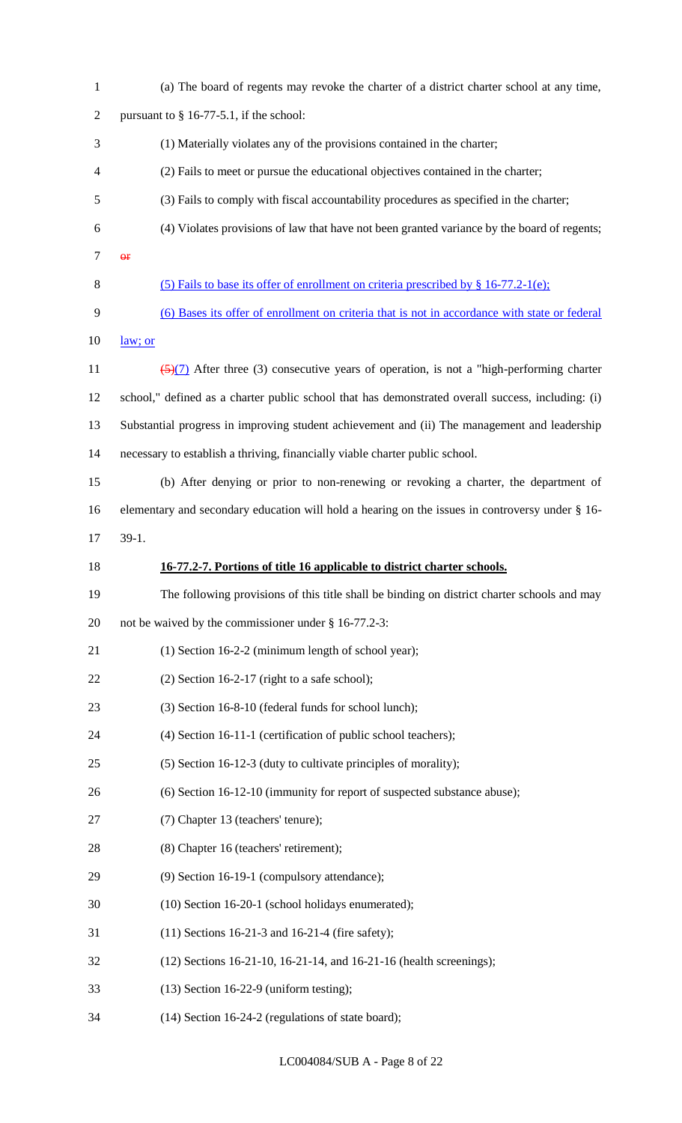| $\mathbf{1}$   | (a) The board of regents may revoke the charter of a district charter school at any time,          |
|----------------|----------------------------------------------------------------------------------------------------|
| $\overline{2}$ | pursuant to $§$ 16-77-5.1, if the school:                                                          |
| 3              | (1) Materially violates any of the provisions contained in the charter;                            |
| $\overline{4}$ | (2) Fails to meet or pursue the educational objectives contained in the charter;                   |
| 5              | (3) Fails to comply with fiscal accountability procedures as specified in the charter;             |
| 6              | (4) Violates provisions of law that have not been granted variance by the board of regents;        |
| $\tau$         | $\Theta$ <b>F</b>                                                                                  |
| 8              | (5) Fails to base its offer of enrollment on criteria prescribed by $\S$ 16-77.2-1(e);             |
| 9              | (6) Bases its offer of enrollment on criteria that is not in accordance with state or federal      |
| 10             | law; or                                                                                            |
| 11             | $\frac{5(7)}{2}$ After three (3) consecutive years of operation, is not a "high-performing charter |
| 12             | school," defined as a charter public school that has demonstrated overall success, including: (i)  |
| 13             | Substantial progress in improving student achievement and (ii) The management and leadership       |
| 14             | necessary to establish a thriving, financially viable charter public school.                       |
| 15             | (b) After denying or prior to non-renewing or revoking a charter, the department of                |
| 16             | elementary and secondary education will hold a hearing on the issues in controversy under § 16-    |
| 17             | $39-1.$                                                                                            |
| 18             | 16-77.2-7. Portions of title 16 applicable to district charter schools.                            |
| 19             | The following provisions of this title shall be binding on district charter schools and may        |
| 20             | not be waived by the commissioner under § 16-77.2-3:                                               |
| 21             | (1) Section 16-2-2 (minimum length of school year);                                                |
| 22             | $(2)$ Section 16-2-17 (right to a safe school);                                                    |
| 23             | (3) Section 16-8-10 (federal funds for school lunch);                                              |
| 24             | (4) Section 16-11-1 (certification of public school teachers);                                     |
| 25             | (5) Section 16-12-3 (duty to cultivate principles of morality);                                    |
| 26             | (6) Section 16-12-10 (immunity for report of suspected substance abuse);                           |
| 27             | (7) Chapter 13 (teachers' tenure);                                                                 |
| 28             | (8) Chapter 16 (teachers' retirement);                                                             |
| 29             | (9) Section 16-19-1 (compulsory attendance);                                                       |
| 30             | (10) Section 16-20-1 (school holidays enumerated);                                                 |
| 31             | $(11)$ Sections 16-21-3 and 16-21-4 (fire safety);                                                 |
| 32             | (12) Sections 16-21-10, 16-21-14, and 16-21-16 (health screenings);                                |
| 33             | $(13)$ Section 16-22-9 (uniform testing);                                                          |
| 34             | (14) Section 16-24-2 (regulations of state board);                                                 |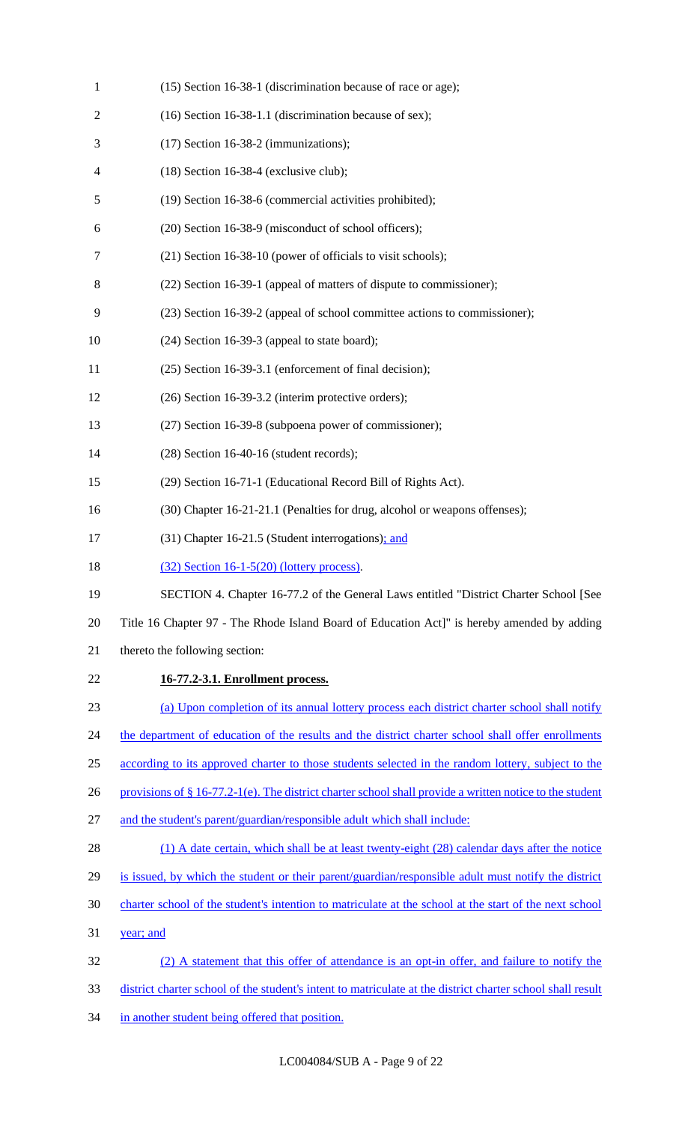| $\mathbf{1}$   | (15) Section 16-38-1 (discrimination because of race or age);                                              |
|----------------|------------------------------------------------------------------------------------------------------------|
| $\overline{c}$ | (16) Section 16-38-1.1 (discrimination because of sex);                                                    |
| 3              | $(17)$ Section 16-38-2 (immunizations);                                                                    |
| 4              | $(18)$ Section 16-38-4 (exclusive club);                                                                   |
| 5              | (19) Section 16-38-6 (commercial activities prohibited);                                                   |
| 6              | (20) Section 16-38-9 (misconduct of school officers);                                                      |
| 7              | (21) Section 16-38-10 (power of officials to visit schools);                                               |
| 8              | (22) Section 16-39-1 (appeal of matters of dispute to commissioner);                                       |
| 9              | (23) Section 16-39-2 (appeal of school committee actions to commissioner);                                 |
| 10             | $(24)$ Section 16-39-3 (appeal to state board);                                                            |
| 11             | (25) Section 16-39-3.1 (enforcement of final decision);                                                    |
| 12             | (26) Section 16-39-3.2 (interim protective orders);                                                        |
| 13             | (27) Section 16-39-8 (subpoena power of commissioner);                                                     |
| 14             | $(28)$ Section 16-40-16 (student records);                                                                 |
| 15             | (29) Section 16-71-1 (Educational Record Bill of Rights Act).                                              |
| 16             | (30) Chapter 16-21-21.1 (Penalties for drug, alcohol or weapons offenses);                                 |
| 17             | (31) Chapter 16-21.5 (Student interrogations); and                                                         |
| 18             | $(32)$ Section 16-1-5(20) (lottery process).                                                               |
| 19             | SECTION 4. Chapter 16-77.2 of the General Laws entitled "District Charter School [See                      |
| 20             | Title 16 Chapter 97 - The Rhode Island Board of Education Act]" is hereby amended by adding                |
| 21             | thereto the following section:                                                                             |
| 22             | 16-77.2-3.1. Enrollment process.                                                                           |
| 23             | (a) Upon completion of its annual lottery process each district charter school shall notify                |
| 24             | the department of education of the results and the district charter school shall offer enrollments         |
| 25             | according to its approved charter to those students selected in the random lottery, subject to the         |
| 26             | provisions of $\S$ 16-77.2-1(e). The district charter school shall provide a written notice to the student |
| 27             | and the student's parent/guardian/responsible adult which shall include:                                   |
| 28             | (1) A date certain, which shall be at least twenty-eight (28) calendar days after the notice               |
| 29             | is issued, by which the student or their parent/guardian/responsible adult must notify the district        |
| 30             | charter school of the student's intention to matriculate at the school at the start of the next school     |
| 31             | year; and                                                                                                  |
| 32             | (2) A statement that this offer of attendance is an opt-in offer, and failure to notify the                |
| 33             | district charter school of the student's intent to matriculate at the district charter school shall result |
| 34             | in another student being offered that position.                                                            |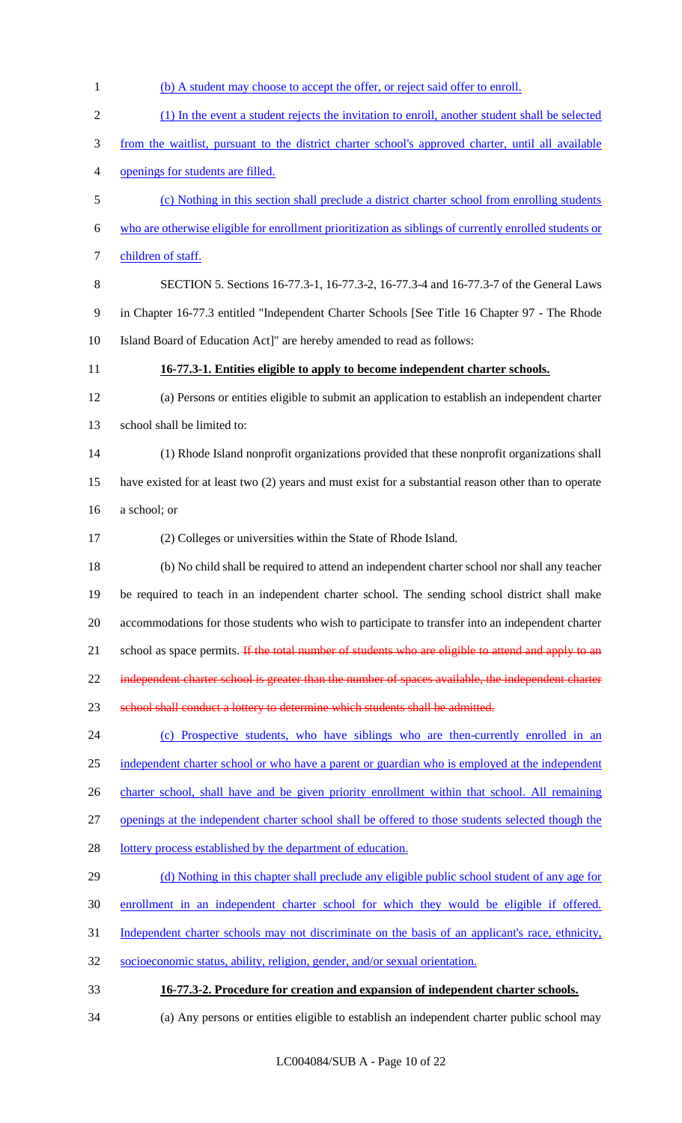| $\mathbf{1}$   | (b) A student may choose to accept the offer, or reject said offer to enroll.                          |
|----------------|--------------------------------------------------------------------------------------------------------|
| $\overline{2}$ | (1) In the event a student rejects the invitation to enroll, another student shall be selected         |
| 3              | from the waitlist, pursuant to the district charter school's approved charter, until all available     |
| 4              | openings for students are filled.                                                                      |
| 5              | (c) Nothing in this section shall preclude a district charter school from enrolling students           |
| 6              | who are otherwise eligible for enrollment prioritization as siblings of currently enrolled students or |
| 7              | children of staff.                                                                                     |
| 8              | SECTION 5. Sections 16-77.3-1, 16-77.3-2, 16-77.3-4 and 16-77.3-7 of the General Laws                  |
| 9              | in Chapter 16-77.3 entitled "Independent Charter Schools [See Title 16 Chapter 97 - The Rhode          |
| 10             | Island Board of Education Act]" are hereby amended to read as follows:                                 |
| 11             | 16-77.3-1. Entities eligible to apply to become independent charter schools.                           |
| 12             | (a) Persons or entities eligible to submit an application to establish an independent charter          |
| 13             | school shall be limited to:                                                                            |
| 14             | (1) Rhode Island nonprofit organizations provided that these nonprofit organizations shall             |
| 15             | have existed for at least two (2) years and must exist for a substantial reason other than to operate  |
| 16             | a school; or                                                                                           |
| 17             | (2) Colleges or universities within the State of Rhode Island.                                         |
| 18             | (b) No child shall be required to attend an independent charter school nor shall any teacher           |
| 19             | be required to teach in an independent charter school. The sending school district shall make          |
| 20             | accommodations for those students who wish to participate to transfer into an independent charter      |
| 21             | school as space permits. If the total number of students who are eligible to attend and apply to an    |
| 22             | independent charter school is greater than the number of spaces available, the independent charter     |
| 23             | school shall conduct a lottery to determine which students shall be admitted.                          |
| 24             | (c) Prospective students, who have siblings who are then-currently enrolled in an                      |
| 25             | independent charter school or who have a parent or guardian who is employed at the independent         |
| 26             | charter school, shall have and be given priority enrollment within that school. All remaining          |
| 27             | openings at the independent charter school shall be offered to those students selected though the      |
| 28             | lottery process established by the department of education.                                            |
| 29             | (d) Nothing in this chapter shall preclude any eligible public school student of any age for           |
| 30             | enrollment in an independent charter school for which they would be eligible if offered.               |
| 31             | Independent charter schools may not discriminate on the basis of an applicant's race, ethnicity,       |
| 32             | socioeconomic status, ability, religion, gender, and/or sexual orientation.                            |
| 33             | 16-77.3-2. Procedure for creation and expansion of independent charter schools.                        |
| 34             | (a) Any persons or entities eligible to establish an independent charter public school may             |
|                |                                                                                                        |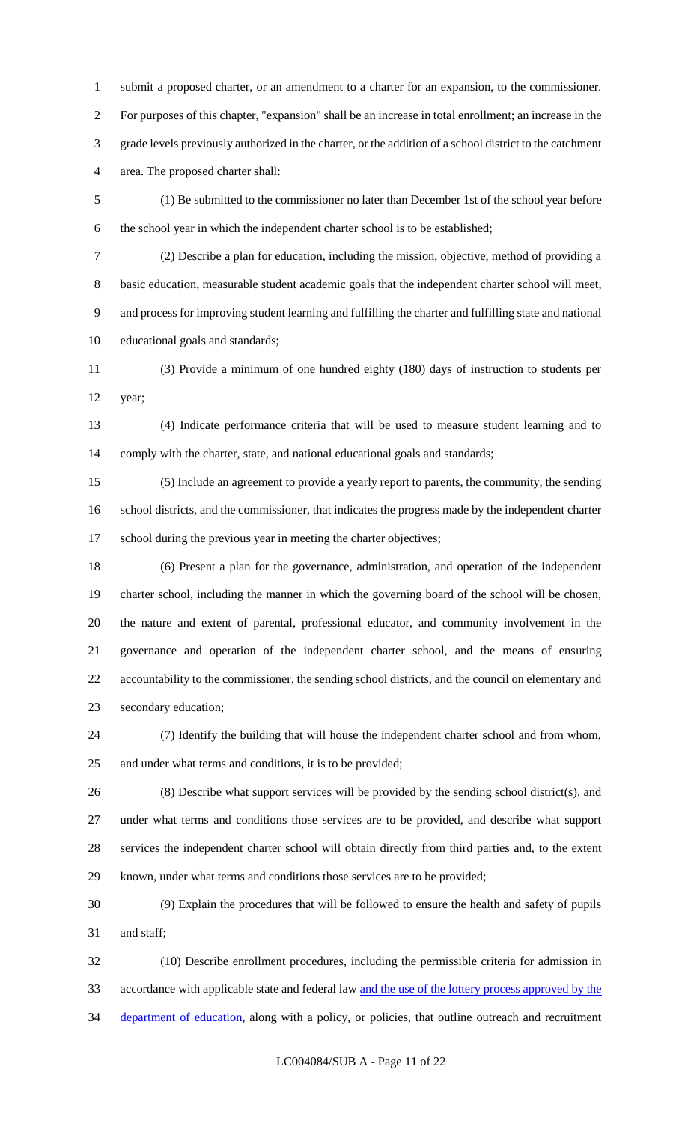submit a proposed charter, or an amendment to a charter for an expansion, to the commissioner. For purposes of this chapter, "expansion" shall be an increase in total enrollment; an increase in the grade levels previously authorized in the charter, or the addition of a school district to the catchment area. The proposed charter shall:

 (1) Be submitted to the commissioner no later than December 1st of the school year before the school year in which the independent charter school is to be established;

 (2) Describe a plan for education, including the mission, objective, method of providing a basic education, measurable student academic goals that the independent charter school will meet, and process for improving student learning and fulfilling the charter and fulfilling state and national educational goals and standards;

 (3) Provide a minimum of one hundred eighty (180) days of instruction to students per year;

 (4) Indicate performance criteria that will be used to measure student learning and to 14 comply with the charter, state, and national educational goals and standards;

 (5) Include an agreement to provide a yearly report to parents, the community, the sending school districts, and the commissioner, that indicates the progress made by the independent charter 17 school during the previous year in meeting the charter objectives;

 (6) Present a plan for the governance, administration, and operation of the independent charter school, including the manner in which the governing board of the school will be chosen, the nature and extent of parental, professional educator, and community involvement in the governance and operation of the independent charter school, and the means of ensuring accountability to the commissioner, the sending school districts, and the council on elementary and secondary education;

 (7) Identify the building that will house the independent charter school and from whom, and under what terms and conditions, it is to be provided;

 (8) Describe what support services will be provided by the sending school district(s), and under what terms and conditions those services are to be provided, and describe what support services the independent charter school will obtain directly from third parties and, to the extent known, under what terms and conditions those services are to be provided;

 (9) Explain the procedures that will be followed to ensure the health and safety of pupils and staff;

 (10) Describe enrollment procedures, including the permissible criteria for admission in accordance with applicable state and federal law and the use of the lottery process approved by the 34 department of education, along with a policy, or policies, that outline outreach and recruitment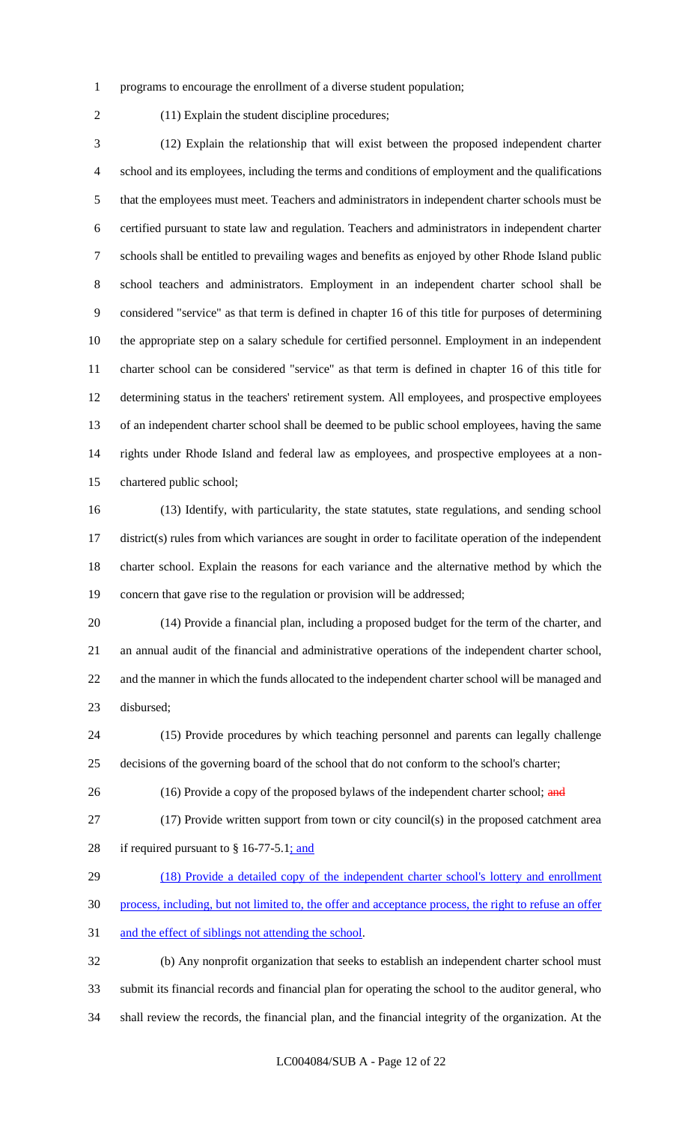- programs to encourage the enrollment of a diverse student population;
- 

(11) Explain the student discipline procedures;

 (12) Explain the relationship that will exist between the proposed independent charter school and its employees, including the terms and conditions of employment and the qualifications that the employees must meet. Teachers and administrators in independent charter schools must be certified pursuant to state law and regulation. Teachers and administrators in independent charter schools shall be entitled to prevailing wages and benefits as enjoyed by other Rhode Island public school teachers and administrators. Employment in an independent charter school shall be considered "service" as that term is defined in chapter 16 of this title for purposes of determining the appropriate step on a salary schedule for certified personnel. Employment in an independent charter school can be considered "service" as that term is defined in chapter 16 of this title for determining status in the teachers' retirement system. All employees, and prospective employees of an independent charter school shall be deemed to be public school employees, having the same rights under Rhode Island and federal law as employees, and prospective employees at a non-chartered public school;

 (13) Identify, with particularity, the state statutes, state regulations, and sending school district(s) rules from which variances are sought in order to facilitate operation of the independent charter school. Explain the reasons for each variance and the alternative method by which the concern that gave rise to the regulation or provision will be addressed;

 (14) Provide a financial plan, including a proposed budget for the term of the charter, and an annual audit of the financial and administrative operations of the independent charter school, and the manner in which the funds allocated to the independent charter school will be managed and disbursed;

 (15) Provide procedures by which teaching personnel and parents can legally challenge decisions of the governing board of the school that do not conform to the school's charter;

26 (16) Provide a copy of the proposed bylaws of the independent charter school; and

 (17) Provide written support from town or city council(s) in the proposed catchment area 28 if required pursuant to  $§$  16-77-5.1; and

(18) Provide a detailed copy of the independent charter school's lottery and enrollment

process, including, but not limited to, the offer and acceptance process, the right to refuse an offer

and the effect of siblings not attending the school.

 (b) Any nonprofit organization that seeks to establish an independent charter school must submit its financial records and financial plan for operating the school to the auditor general, who shall review the records, the financial plan, and the financial integrity of the organization. At the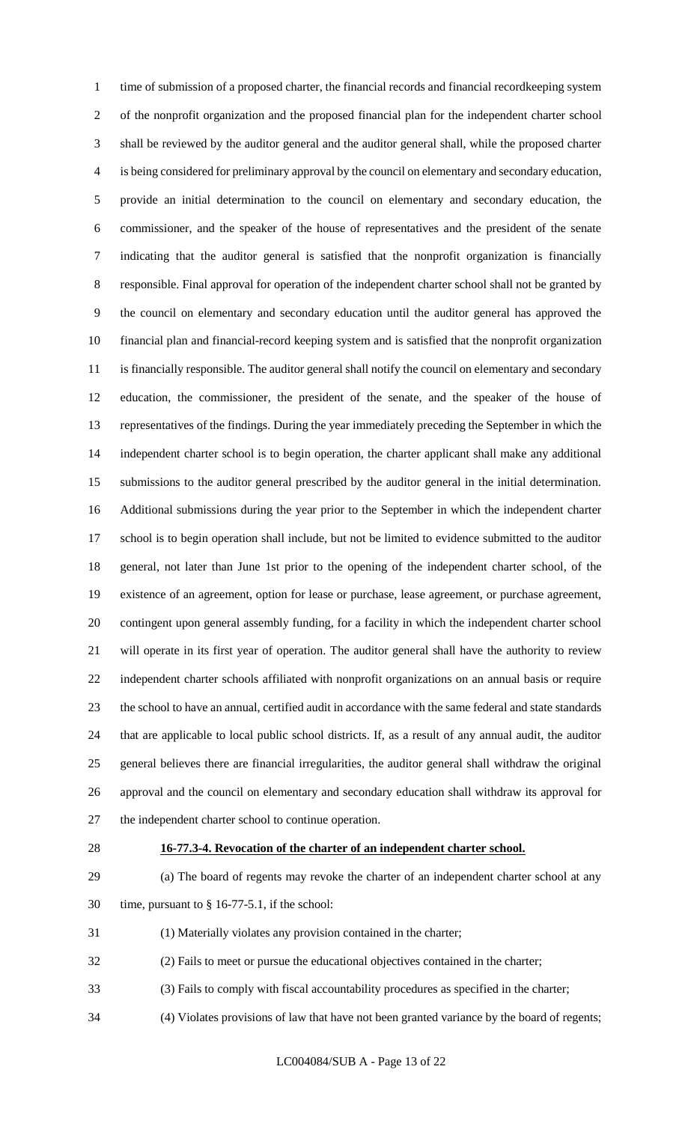time of submission of a proposed charter, the financial records and financial recordkeeping system of the nonprofit organization and the proposed financial plan for the independent charter school shall be reviewed by the auditor general and the auditor general shall, while the proposed charter is being considered for preliminary approval by the council on elementary and secondary education, provide an initial determination to the council on elementary and secondary education, the commissioner, and the speaker of the house of representatives and the president of the senate indicating that the auditor general is satisfied that the nonprofit organization is financially responsible. Final approval for operation of the independent charter school shall not be granted by the council on elementary and secondary education until the auditor general has approved the financial plan and financial-record keeping system and is satisfied that the nonprofit organization is financially responsible. The auditor general shall notify the council on elementary and secondary education, the commissioner, the president of the senate, and the speaker of the house of representatives of the findings. During the year immediately preceding the September in which the independent charter school is to begin operation, the charter applicant shall make any additional submissions to the auditor general prescribed by the auditor general in the initial determination. Additional submissions during the year prior to the September in which the independent charter school is to begin operation shall include, but not be limited to evidence submitted to the auditor general, not later than June 1st prior to the opening of the independent charter school, of the existence of an agreement, option for lease or purchase, lease agreement, or purchase agreement, contingent upon general assembly funding, for a facility in which the independent charter school will operate in its first year of operation. The auditor general shall have the authority to review independent charter schools affiliated with nonprofit organizations on an annual basis or require the school to have an annual, certified audit in accordance with the same federal and state standards that are applicable to local public school districts. If, as a result of any annual audit, the auditor general believes there are financial irregularities, the auditor general shall withdraw the original approval and the council on elementary and secondary education shall withdraw its approval for the independent charter school to continue operation.

#### **16-77.3-4. Revocation of the charter of an independent charter school.**

- (a) The board of regents may revoke the charter of an independent charter school at any time, pursuant to § 16-77-5.1, if the school:
- (1) Materially violates any provision contained in the charter;
- (2) Fails to meet or pursue the educational objectives contained in the charter;
- (3) Fails to comply with fiscal accountability procedures as specified in the charter;
- (4) Violates provisions of law that have not been granted variance by the board of regents;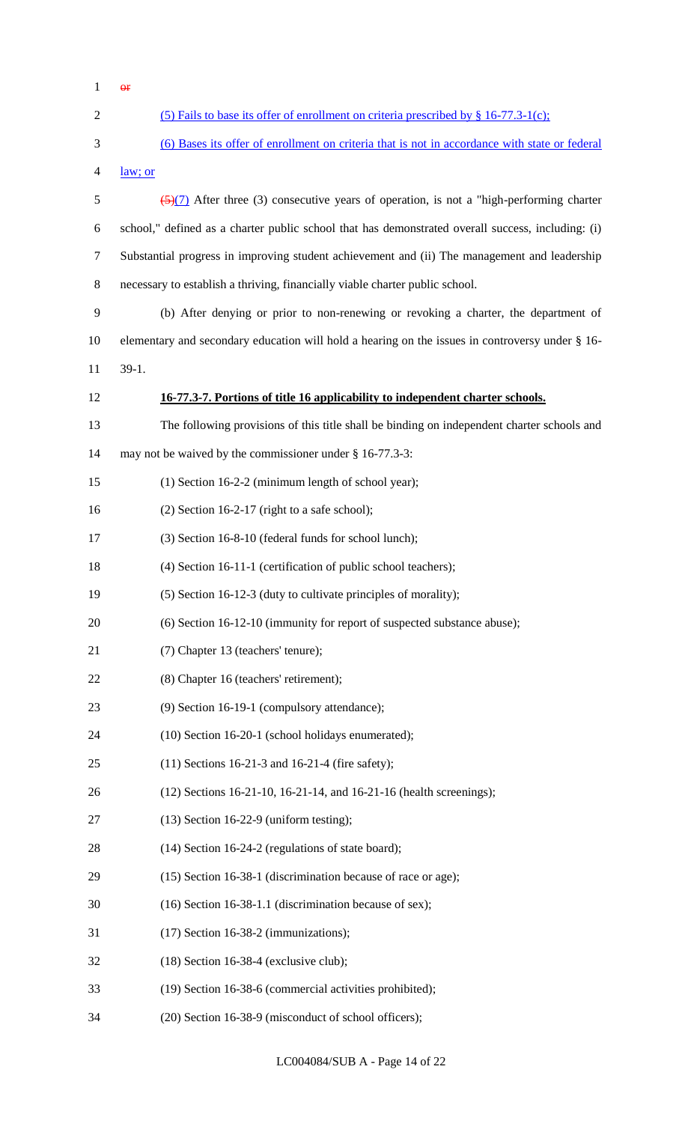| 1              | $\Theta$ <b>F</b>                                                                                   |
|----------------|-----------------------------------------------------------------------------------------------------|
| $\overline{2}$ | (5) Fails to base its offer of enrollment on criteria prescribed by § 16-77.3-1(c);                 |
| 3              | (6) Bases its offer of enrollment on criteria that is not in accordance with state or federal       |
| 4              | law; or                                                                                             |
| 5              | $\frac{5}{2}$ (5) After three (3) consecutive years of operation, is not a "high-performing charter |
| 6              | school," defined as a charter public school that has demonstrated overall success, including: (i)   |
| 7              | Substantial progress in improving student achievement and (ii) The management and leadership        |
| $8\,$          | necessary to establish a thriving, financially viable charter public school.                        |
| 9              | (b) After denying or prior to non-renewing or revoking a charter, the department of                 |
| 10             | elementary and secondary education will hold a hearing on the issues in controversy under § 16-     |
| 11             | $39-1.$                                                                                             |
| 12             | 16-77.3-7. Portions of title 16 applicability to independent charter schools.                       |
| 13             | The following provisions of this title shall be binding on independent charter schools and          |
| 14             | may not be waived by the commissioner under $\S$ 16-77.3-3:                                         |
| 15             | (1) Section 16-2-2 (minimum length of school year);                                                 |
| 16             | $(2)$ Section 16-2-17 (right to a safe school);                                                     |
| 17             | (3) Section 16-8-10 (federal funds for school lunch);                                               |
| 18             | (4) Section 16-11-1 (certification of public school teachers);                                      |
| 19             | (5) Section 16-12-3 (duty to cultivate principles of morality);                                     |
| 20             | (6) Section 16-12-10 (immunity for report of suspected substance abuse);                            |
| 21             | (7) Chapter 13 (teachers' tenure);                                                                  |
| 22             | (8) Chapter 16 (teachers' retirement);                                                              |
| 23             | (9) Section 16-19-1 (compulsory attendance);                                                        |
| 24             | (10) Section 16-20-1 (school holidays enumerated);                                                  |
| 25             | $(11)$ Sections 16-21-3 and 16-21-4 (fire safety);                                                  |
| 26             | (12) Sections 16-21-10, 16-21-14, and 16-21-16 (health screenings);                                 |
| 27             | $(13)$ Section 16-22-9 (uniform testing);                                                           |
| 28             | $(14)$ Section 16-24-2 (regulations of state board);                                                |
| 29             | (15) Section 16-38-1 (discrimination because of race or age);                                       |
| 30             | $(16)$ Section 16-38-1.1 (discrimination because of sex);                                           |
| 31             | $(17)$ Section 16-38-2 (immunizations);                                                             |
| 32             | $(18)$ Section 16-38-4 (exclusive club);                                                            |
| 33             | (19) Section 16-38-6 (commercial activities prohibited);                                            |
| 34             | (20) Section 16-38-9 (misconduct of school officers);                                               |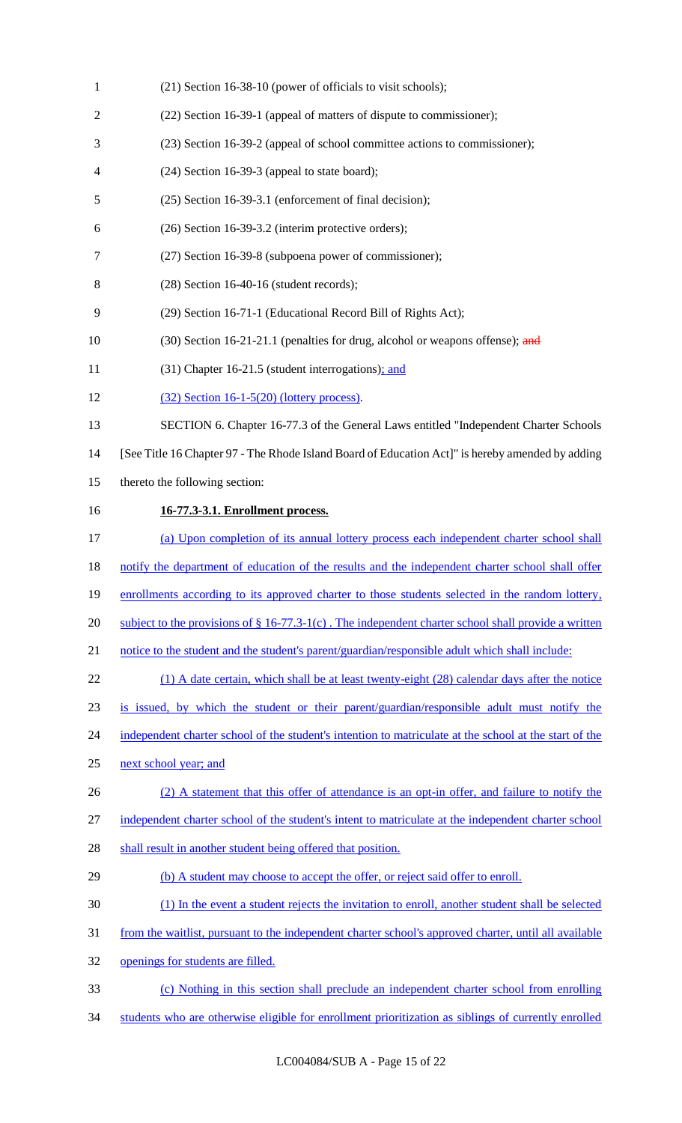| $\mathbf{1}$   | (21) Section 16-38-10 (power of officials to visit schools);                                           |
|----------------|--------------------------------------------------------------------------------------------------------|
| $\mathfrak{2}$ | (22) Section 16-39-1 (appeal of matters of dispute to commissioner);                                   |
| 3              | (23) Section 16-39-2 (appeal of school committee actions to commissioner);                             |
| 4              | $(24)$ Section 16-39-3 (appeal to state board);                                                        |
| 5              | (25) Section 16-39-3.1 (enforcement of final decision);                                                |
| 6              | (26) Section 16-39-3.2 (interim protective orders);                                                    |
| 7              | (27) Section 16-39-8 (subpoena power of commissioner);                                                 |
| 8              | $(28)$ Section 16-40-16 (student records);                                                             |
| 9              | (29) Section 16-71-1 (Educational Record Bill of Rights Act);                                          |
| 10             | (30) Section 16-21-21.1 (penalties for drug, alcohol or weapons offense); and                          |
| 11             | (31) Chapter 16-21.5 (student interrogations); and                                                     |
| 12             | $(32)$ Section 16-1-5(20) (lottery process).                                                           |
| 13             | SECTION 6. Chapter 16-77.3 of the General Laws entitled "Independent Charter Schools                   |
| 14             | [See Title 16 Chapter 97 - The Rhode Island Board of Education Act]" is hereby amended by adding       |
| 15             | thereto the following section:                                                                         |
| 16             | 16-77.3-3.1. Enrollment process.                                                                       |
| 17             | (a) Upon completion of its annual lottery process each independent charter school shall                |
| 18             | notify the department of education of the results and the independent charter school shall offer       |
| 19             | enrollments according to its approved charter to those students selected in the random lottery,        |
| 20             | subject to the provisions of $\S$ 16-77.3-1(c). The independent charter school shall provide a written |
| 21             | notice to the student and the student's parent/guardian/responsible adult which shall include:         |
| 22             | (1) A date certain, which shall be at least twenty-eight (28) calendar days after the notice           |
| 23             | is issued, by which the student or their parent/guardian/responsible adult must notify the             |
| 24             | independent charter school of the student's intention to matriculate at the school at the start of the |
| 25             | next school year; and                                                                                  |
| 26             | (2) A statement that this offer of attendance is an opt-in offer, and failure to notify the            |
| 27             | independent charter school of the student's intent to matriculate at the independent charter school    |
| 28             | shall result in another student being offered that position.                                           |
| 29             | (b) A student may choose to accept the offer, or reject said offer to enroll.                          |
| 30             | (1) In the event a student rejects the invitation to enroll, another student shall be selected         |
| 31             | from the waitlist, pursuant to the independent charter school's approved charter, until all available  |
| 32             | openings for students are filled.                                                                      |
| 33             | (c) Nothing in this section shall preclude an independent charter school from enrolling                |
| 34             | students who are otherwise eligible for enrollment prioritization as siblings of currently enrolled    |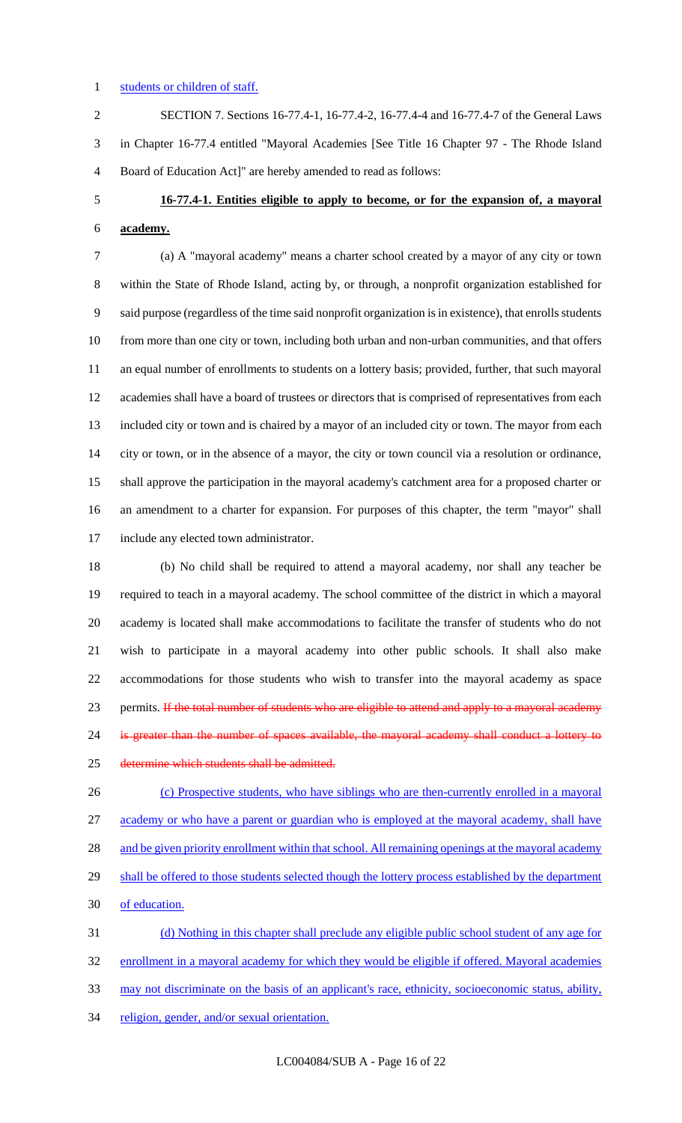### 1 students or children of staff.

 SECTION 7. Sections 16-77.4-1, 16-77.4-2, 16-77.4-4 and 16-77.4-7 of the General Laws in Chapter 16-77.4 entitled "Mayoral Academies [See Title 16 Chapter 97 - The Rhode Island Board of Education Act]" are hereby amended to read as follows:

# **16-77.4-1. Entities eligible to apply to become, or for the expansion of, a mayoral academy.**

 (a) A "mayoral academy" means a charter school created by a mayor of any city or town within the State of Rhode Island, acting by, or through, a nonprofit organization established for said purpose (regardless of the time said nonprofit organization is in existence), that enrolls students from more than one city or town, including both urban and non-urban communities, and that offers an equal number of enrollments to students on a lottery basis; provided, further, that such mayoral academies shall have a board of trustees or directors that is comprised of representatives from each included city or town and is chaired by a mayor of an included city or town. The mayor from each city or town, or in the absence of a mayor, the city or town council via a resolution or ordinance, shall approve the participation in the mayoral academy's catchment area for a proposed charter or an amendment to a charter for expansion. For purposes of this chapter, the term "mayor" shall include any elected town administrator.

 (b) No child shall be required to attend a mayoral academy, nor shall any teacher be required to teach in a mayoral academy. The school committee of the district in which a mayoral academy is located shall make accommodations to facilitate the transfer of students who do not wish to participate in a mayoral academy into other public schools. It shall also make accommodations for those students who wish to transfer into the mayoral academy as space 23 permits. If the total number of students who are eligible to attend and apply to a mayoral academy is greater than the number of spaces available, the mayoral academy shall conduct a lottery to 25 determine which students shall be admitted.

 (c) Prospective students, who have siblings who are then-currently enrolled in a mayoral academy or who have a parent or guardian who is employed at the mayoral academy, shall have 28 and be given priority enrollment within that school. All remaining openings at the mayoral academy 29 shall be offered to those students selected though the lottery process established by the department of education. (d) Nothing in this chapter shall preclude any eligible public school student of any age for

32 enrollment in a mayoral academy for which they would be eligible if offered. Mayoral academies

may not discriminate on the basis of an applicant's race, ethnicity, socioeconomic status, ability,

34 religion, gender, and/or sexual orientation.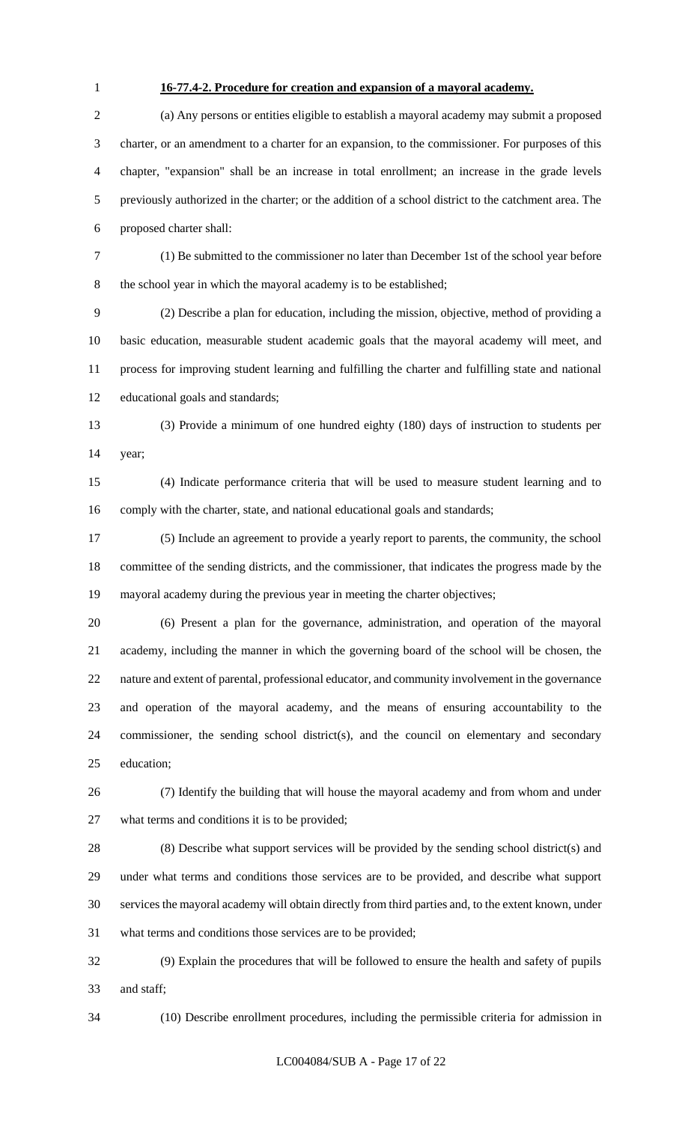## **16-77.4-2. Procedure for creation and expansion of a mayoral academy.**

 (a) Any persons or entities eligible to establish a mayoral academy may submit a proposed charter, or an amendment to a charter for an expansion, to the commissioner. For purposes of this chapter, "expansion" shall be an increase in total enrollment; an increase in the grade levels previously authorized in the charter; or the addition of a school district to the catchment area. The proposed charter shall:

 (1) Be submitted to the commissioner no later than December 1st of the school year before the school year in which the mayoral academy is to be established;

 (2) Describe a plan for education, including the mission, objective, method of providing a basic education, measurable student academic goals that the mayoral academy will meet, and process for improving student learning and fulfilling the charter and fulfilling state and national educational goals and standards;

 (3) Provide a minimum of one hundred eighty (180) days of instruction to students per year;

 (4) Indicate performance criteria that will be used to measure student learning and to comply with the charter, state, and national educational goals and standards;

 (5) Include an agreement to provide a yearly report to parents, the community, the school committee of the sending districts, and the commissioner, that indicates the progress made by the mayoral academy during the previous year in meeting the charter objectives;

 (6) Present a plan for the governance, administration, and operation of the mayoral academy, including the manner in which the governing board of the school will be chosen, the nature and extent of parental, professional educator, and community involvement in the governance and operation of the mayoral academy, and the means of ensuring accountability to the commissioner, the sending school district(s), and the council on elementary and secondary education;

 (7) Identify the building that will house the mayoral academy and from whom and under what terms and conditions it is to be provided;

 (8) Describe what support services will be provided by the sending school district(s) and under what terms and conditions those services are to be provided, and describe what support services the mayoral academy will obtain directly from third parties and, to the extent known, under what terms and conditions those services are to be provided;

 (9) Explain the procedures that will be followed to ensure the health and safety of pupils and staff;

(10) Describe enrollment procedures, including the permissible criteria for admission in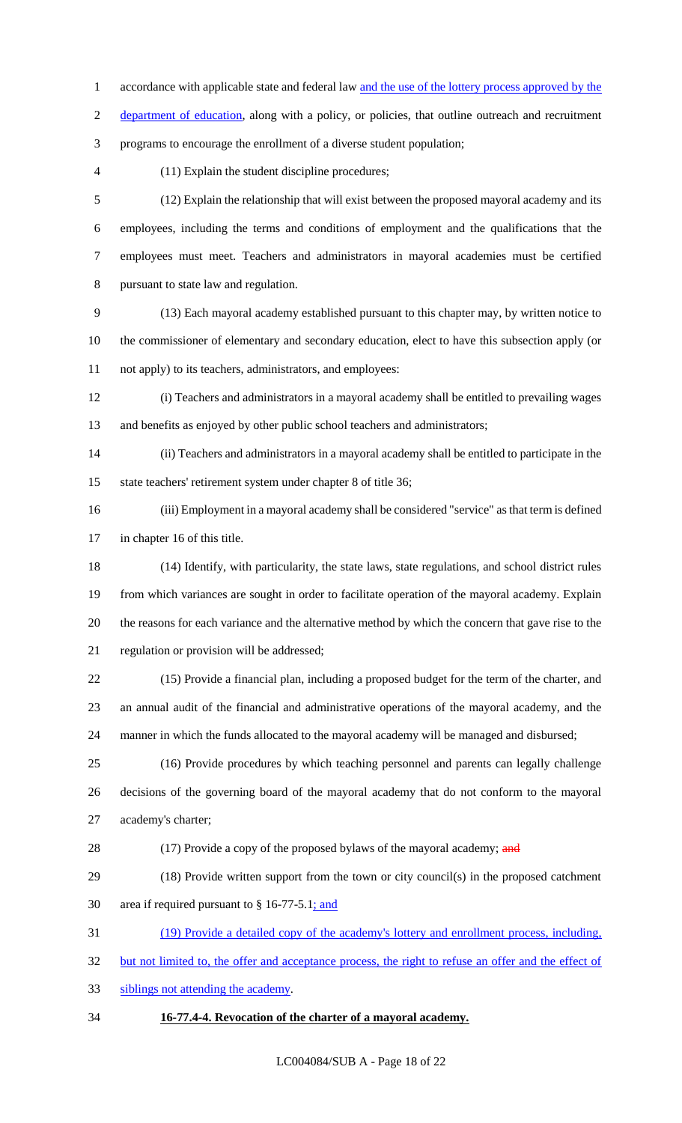- 1 accordance with applicable state and federal law and the use of the lottery process approved by the
- 2 department of education, along with a policy, or policies, that outline outreach and recruitment
- programs to encourage the enrollment of a diverse student population;
- 

(11) Explain the student discipline procedures;

 (12) Explain the relationship that will exist between the proposed mayoral academy and its employees, including the terms and conditions of employment and the qualifications that the employees must meet. Teachers and administrators in mayoral academies must be certified pursuant to state law and regulation.

- (13) Each mayoral academy established pursuant to this chapter may, by written notice to the commissioner of elementary and secondary education, elect to have this subsection apply (or not apply) to its teachers, administrators, and employees:
- (i) Teachers and administrators in a mayoral academy shall be entitled to prevailing wages 13 and benefits as enjoyed by other public school teachers and administrators;
- (ii) Teachers and administrators in a mayoral academy shall be entitled to participate in the state teachers' retirement system under chapter 8 of title 36;
- (iii) Employment in a mayoral academy shall be considered "service" as that term is defined in chapter 16 of this title.
- (14) Identify, with particularity, the state laws, state regulations, and school district rules from which variances are sought in order to facilitate operation of the mayoral academy. Explain the reasons for each variance and the alternative method by which the concern that gave rise to the regulation or provision will be addressed;
- (15) Provide a financial plan, including a proposed budget for the term of the charter, and an annual audit of the financial and administrative operations of the mayoral academy, and the manner in which the funds allocated to the mayoral academy will be managed and disbursed;
- (16) Provide procedures by which teaching personnel and parents can legally challenge decisions of the governing board of the mayoral academy that do not conform to the mayoral academy's charter;
- 28 (17) Provide a copy of the proposed bylaws of the mayoral academy; and
- (18) Provide written support from the town or city council(s) in the proposed catchment area if required pursuant to § 16-77-5.1; and
- (19) Provide a detailed copy of the academy's lottery and enrollment process, including,
- 32 but not limited to, the offer and acceptance process, the right to refuse an offer and the effect of
- siblings not attending the academy.
- **16-77.4-4. Revocation of the charter of a mayoral academy.**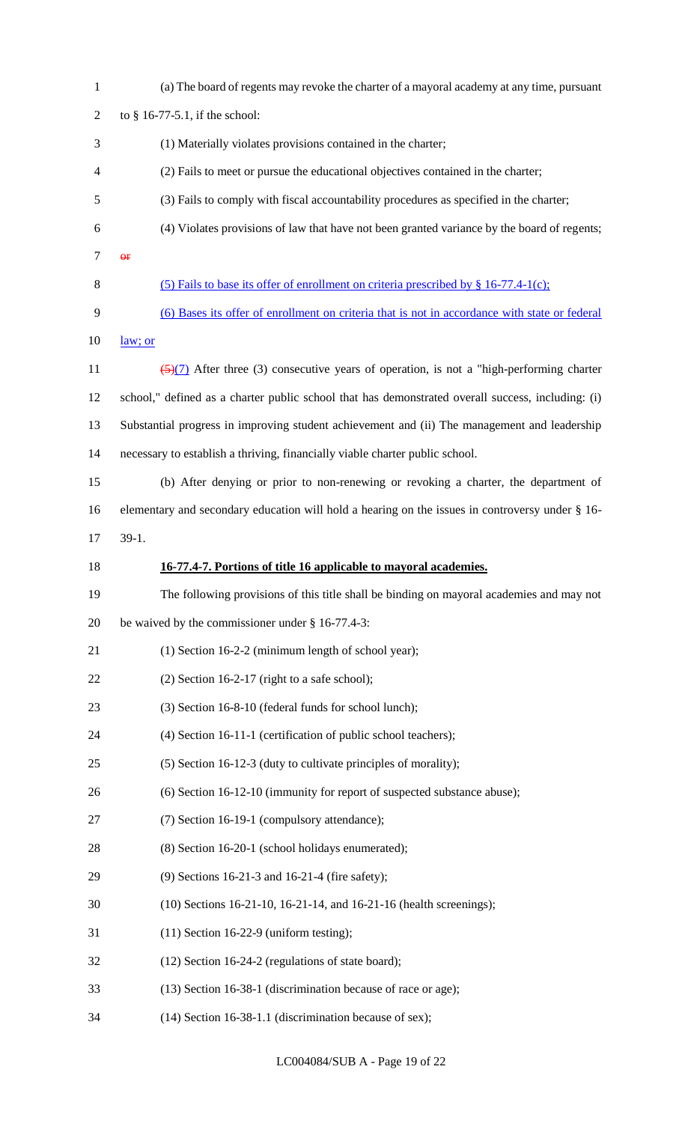| $\mathbf{1}$   | (a) The board of regents may revoke the charter of a mayoral academy at any time, pursuant             |
|----------------|--------------------------------------------------------------------------------------------------------|
| $\overline{2}$ | to $§$ 16-77-5.1, if the school:                                                                       |
| 3              | (1) Materially violates provisions contained in the charter;                                           |
| $\overline{4}$ | (2) Fails to meet or pursue the educational objectives contained in the charter;                       |
| 5              | (3) Fails to comply with fiscal accountability procedures as specified in the charter;                 |
| 6              | (4) Violates provisions of law that have not been granted variance by the board of regents;            |
| 7              | $\Theta$ <b>F</b>                                                                                      |
| 8              | (5) Fails to base its offer of enrollment on criteria prescribed by § 16-77.4-1(c);                    |
| 9              | (6) Bases its offer of enrollment on criteria that is not in accordance with state or federal          |
| 10             | law; or                                                                                                |
| 11             | $\frac{5}{2}$ (5)(7) After three (3) consecutive years of operation, is not a "high-performing charter |
| 12             | school," defined as a charter public school that has demonstrated overall success, including: (i)      |
| 13             | Substantial progress in improving student achievement and (ii) The management and leadership           |
| 14             | necessary to establish a thriving, financially viable charter public school.                           |
| 15             | (b) After denying or prior to non-renewing or revoking a charter, the department of                    |
| 16             | elementary and secondary education will hold a hearing on the issues in controversy under § 16-        |
| 17             | $39-1.$                                                                                                |
|                |                                                                                                        |
| 18             | 16-77.4-7. Portions of title 16 applicable to mayoral academies.                                       |
| 19             | The following provisions of this title shall be binding on mayoral academies and may not               |
| 20             | be waived by the commissioner under $\S$ 16-77.4-3:                                                    |
| 21             | $(1)$ Section 16-2-2 (minimum length of school year);                                                  |
| 22             | $(2)$ Section 16-2-17 (right to a safe school);                                                        |
| 23             | (3) Section 16-8-10 (federal funds for school lunch);                                                  |
| 24             | (4) Section 16-11-1 (certification of public school teachers);                                         |
| 25             | (5) Section 16-12-3 (duty to cultivate principles of morality);                                        |
| 26             | (6) Section 16-12-10 (immunity for report of suspected substance abuse);                               |
| 27             | (7) Section 16-19-1 (compulsory attendance);                                                           |
| 28             | (8) Section 16-20-1 (school holidays enumerated);                                                      |
| 29             | (9) Sections 16-21-3 and 16-21-4 (fire safety);                                                        |
| 30             | (10) Sections 16-21-10, 16-21-14, and 16-21-16 (health screenings);                                    |
| 31             | $(11)$ Section 16-22-9 (uniform testing);                                                              |
| 32             | (12) Section 16-24-2 (regulations of state board);                                                     |
| 33             | (13) Section 16-38-1 (discrimination because of race or age);                                          |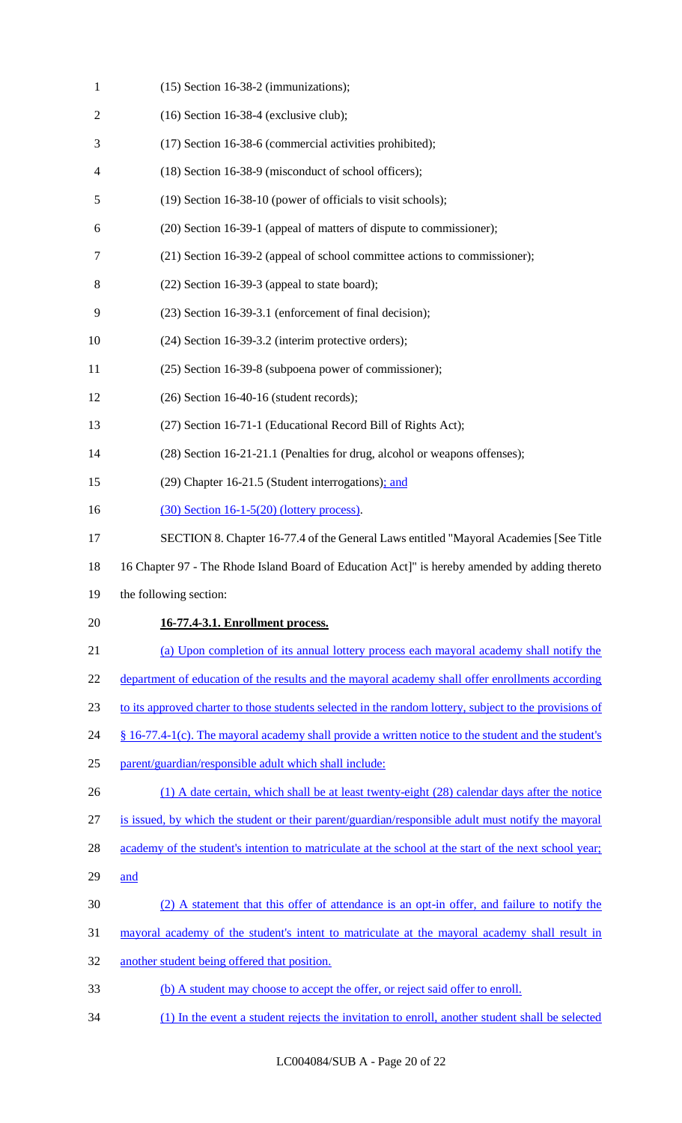| $\mathbf{1}$   | $(15)$ Section 16-38-2 (immunizations);                                                                |
|----------------|--------------------------------------------------------------------------------------------------------|
| $\overline{c}$ | $(16)$ Section 16-38-4 (exclusive club);                                                               |
| 3              | (17) Section 16-38-6 (commercial activities prohibited);                                               |
| 4              | (18) Section 16-38-9 (misconduct of school officers);                                                  |
| 5              | (19) Section 16-38-10 (power of officials to visit schools);                                           |
| 6              | (20) Section 16-39-1 (appeal of matters of dispute to commissioner);                                   |
| 7              | (21) Section 16-39-2 (appeal of school committee actions to commissioner);                             |
| 8              | $(22)$ Section 16-39-3 (appeal to state board);                                                        |
| 9              | (23) Section 16-39-3.1 (enforcement of final decision);                                                |
| 10             | (24) Section 16-39-3.2 (interim protective orders);                                                    |
| 11             | (25) Section 16-39-8 (subpoena power of commissioner);                                                 |
| 12             | $(26)$ Section 16-40-16 (student records);                                                             |
| 13             | (27) Section 16-71-1 (Educational Record Bill of Rights Act);                                          |
| 14             | (28) Section 16-21-21.1 (Penalties for drug, alcohol or weapons offenses);                             |
| 15             | (29) Chapter 16-21.5 (Student interrogations); and                                                     |
| 16             | $(30)$ Section 16-1-5(20) (lottery process).                                                           |
| 17             | SECTION 8. Chapter 16-77.4 of the General Laws entitled "Mayoral Academies [See Title                  |
|                |                                                                                                        |
| 18             | 16 Chapter 97 - The Rhode Island Board of Education Act]" is hereby amended by adding thereto          |
| 19             | the following section:                                                                                 |
| 20             | 16-77.4-3.1. Enrollment process.                                                                       |
| 21             | (a) Upon completion of its annual lottery process each mayoral academy shall notify the                |
| 22             | department of education of the results and the mayoral academy shall offer enrollments according       |
| 23             | to its approved charter to those students selected in the random lottery, subject to the provisions of |
|                | $§$ 16-77.4-1(c). The mayoral academy shall provide a written notice to the student and the student's  |
| 24<br>25       | parent/guardian/responsible adult which shall include:                                                 |
| 26             | (1) A date certain, which shall be at least twenty-eight (28) calendar days after the notice           |
| 27             | is issued, by which the student or their parent/guardian/responsible adult must notify the mayoral     |
| 28             | academy of the student's intention to matriculate at the school at the start of the next school year;  |
| 29             | and                                                                                                    |
| 30             | (2) A statement that this offer of attendance is an opt-in offer, and failure to notify the            |
| 31             | mayoral academy of the student's intent to matriculate at the mayoral academy shall result in          |
| 32             | another student being offered that position.                                                           |
| 33             | (b) A student may choose to accept the offer, or reject said offer to enroll.                          |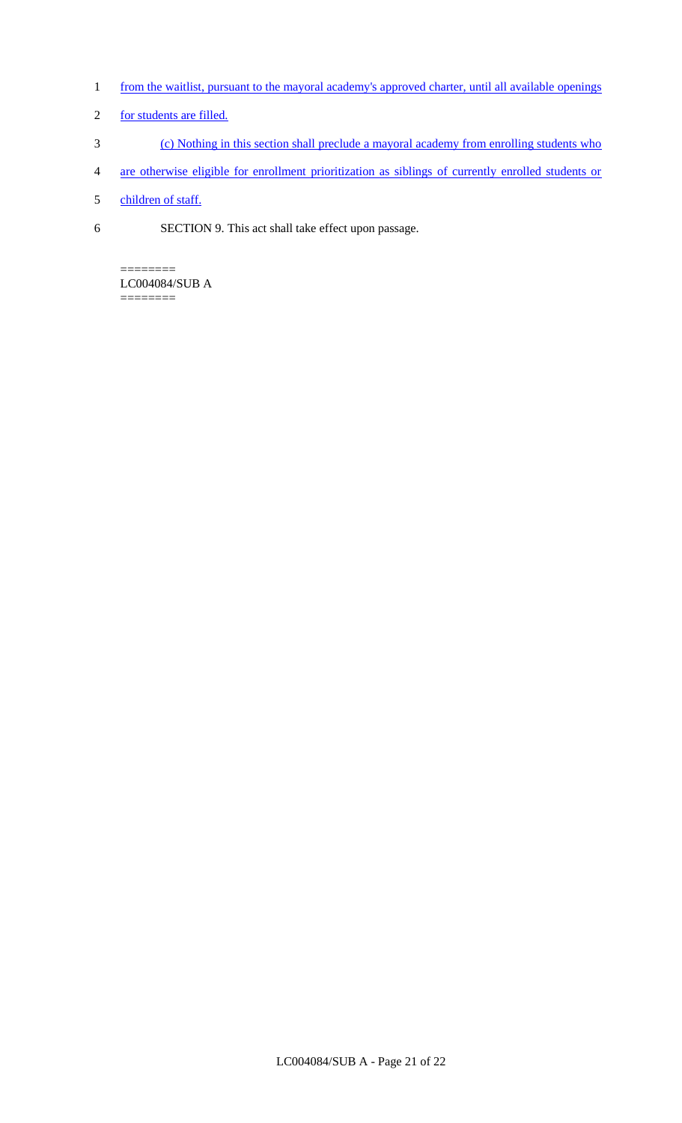- 1 from the waitlist, pursuant to the mayoral academy's approved charter, until all available openings
- 2 for students are filled.
- 3 (c) Nothing in this section shall preclude a mayoral academy from enrolling students who
- 4 are otherwise eligible for enrollment prioritization as siblings of currently enrolled students or
- 5 children of staff.
- 6 SECTION 9. This act shall take effect upon passage.

======== LC004084/SUB A

========